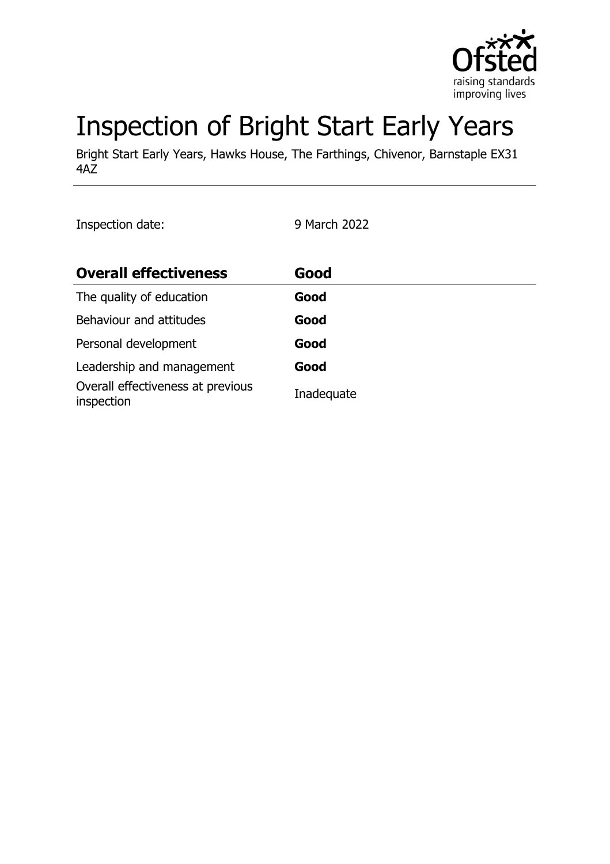

# Inspection of Bright Start Early Years

Bright Start Early Years, Hawks House, The Farthings, Chivenor, Barnstaple EX31 4AZ

Inspection date: 9 March 2022

| <b>Overall effectiveness</b>                    | Good       |
|-------------------------------------------------|------------|
| The quality of education                        | Good       |
| Behaviour and attitudes                         | Good       |
| Personal development                            | Good       |
| Leadership and management                       | Good       |
| Overall effectiveness at previous<br>inspection | Inadequate |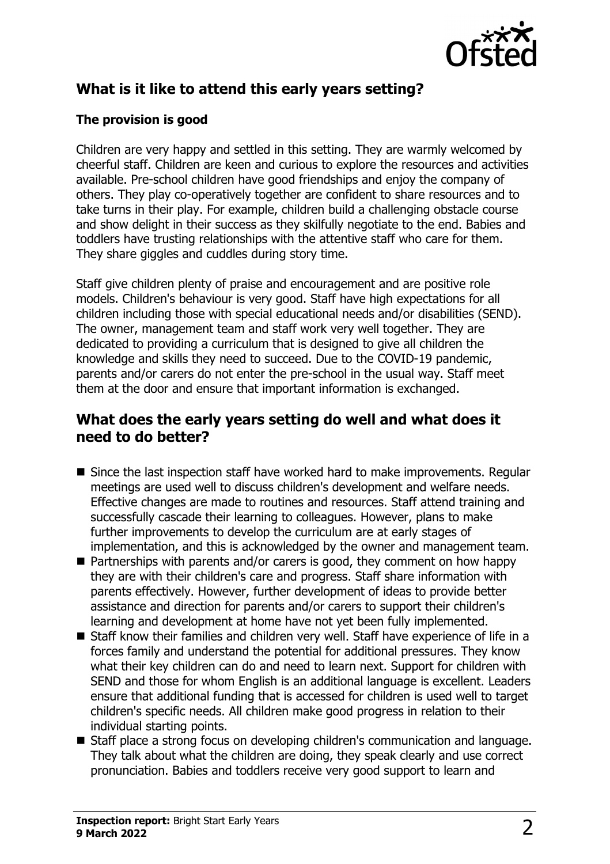

# **What is it like to attend this early years setting?**

## **The provision is good**

Children are very happy and settled in this setting. They are warmly welcomed by cheerful staff. Children are keen and curious to explore the resources and activities available. Pre-school children have good friendships and enjoy the company of others. They play co-operatively together are confident to share resources and to take turns in their play. For example, children build a challenging obstacle course and show delight in their success as they skilfully negotiate to the end. Babies and toddlers have trusting relationships with the attentive staff who care for them. They share giggles and cuddles during story time.

Staff give children plenty of praise and encouragement and are positive role models. Children's behaviour is very good. Staff have high expectations for all children including those with special educational needs and/or disabilities (SEND). The owner, management team and staff work very well together. They are dedicated to providing a curriculum that is designed to give all children the knowledge and skills they need to succeed. Due to the COVID-19 pandemic, parents and/or carers do not enter the pre-school in the usual way. Staff meet them at the door and ensure that important information is exchanged.

## **What does the early years setting do well and what does it need to do better?**

- $\blacksquare$  Since the last inspection staff have worked hard to make improvements. Regular meetings are used well to discuss children's development and welfare needs. Effective changes are made to routines and resources. Staff attend training and successfully cascade their learning to colleagues. However, plans to make further improvements to develop the curriculum are at early stages of implementation, and this is acknowledged by the owner and management team.
- $\blacksquare$  Partnerships with parents and/or carers is good, they comment on how happy they are with their children's care and progress. Staff share information with parents effectively. However, further development of ideas to provide better assistance and direction for parents and/or carers to support their children's learning and development at home have not yet been fully implemented.
- Staff know their families and children very well. Staff have experience of life in a forces family and understand the potential for additional pressures. They know what their key children can do and need to learn next. Support for children with SEND and those for whom English is an additional language is excellent. Leaders ensure that additional funding that is accessed for children is used well to target children's specific needs. All children make good progress in relation to their individual starting points.
- Staff place a strong focus on developing children's communication and language. They talk about what the children are doing, they speak clearly and use correct pronunciation. Babies and toddlers receive very good support to learn and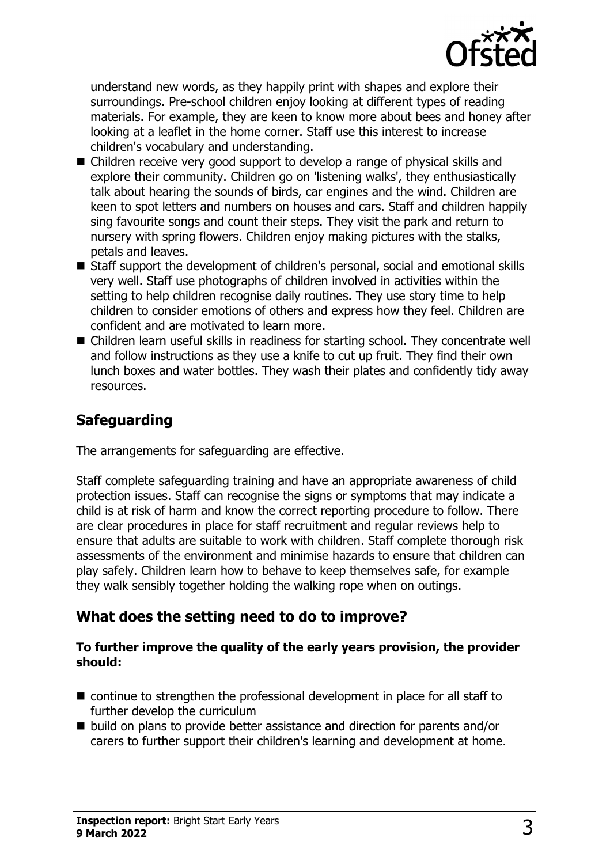

understand new words, as they happily print with shapes and explore their surroundings. Pre-school children enjoy looking at different types of reading materials. For example, they are keen to know more about bees and honey after looking at a leaflet in the home corner. Staff use this interest to increase children's vocabulary and understanding.

- Children receive very good support to develop a range of physical skills and explore their community. Children go on 'listening walks', they enthusiastically talk about hearing the sounds of birds, car engines and the wind. Children are keen to spot letters and numbers on houses and cars. Staff and children happily sing favourite songs and count their steps. They visit the park and return to nursery with spring flowers. Children enjoy making pictures with the stalks, petals and leaves.
- Staff support the development of children's personal, social and emotional skills very well. Staff use photographs of children involved in activities within the setting to help children recognise daily routines. They use story time to help children to consider emotions of others and express how they feel. Children are confident and are motivated to learn more.
- Children learn useful skills in readiness for starting school. They concentrate well and follow instructions as they use a knife to cut up fruit. They find their own lunch boxes and water bottles. They wash their plates and confidently tidy away resources.

## **Safeguarding**

The arrangements for safeguarding are effective.

Staff complete safeguarding training and have an appropriate awareness of child protection issues. Staff can recognise the signs or symptoms that may indicate a child is at risk of harm and know the correct reporting procedure to follow. There are clear procedures in place for staff recruitment and regular reviews help to ensure that adults are suitable to work with children. Staff complete thorough risk assessments of the environment and minimise hazards to ensure that children can play safely. Children learn how to behave to keep themselves safe, for example they walk sensibly together holding the walking rope when on outings.

## **What does the setting need to do to improve?**

#### **To further improve the quality of the early years provision, the provider should:**

- $\blacksquare$  continue to strengthen the professional development in place for all staff to further develop the curriculum
- build on plans to provide better assistance and direction for parents and/or carers to further support their children's learning and development at home.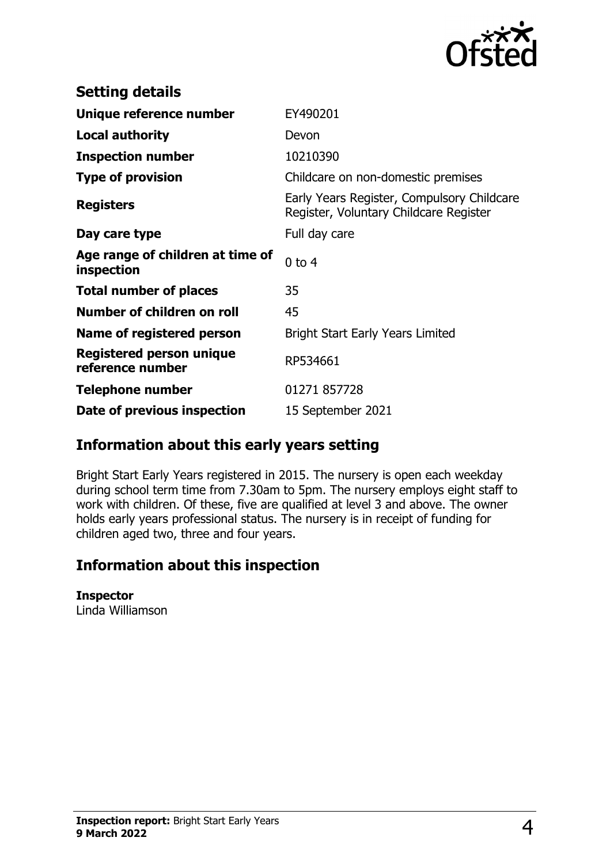

| <b>Setting details</b>                         |                                                                                      |
|------------------------------------------------|--------------------------------------------------------------------------------------|
| Unique reference number                        | EY490201                                                                             |
| <b>Local authority</b>                         | Devon                                                                                |
| <b>Inspection number</b>                       | 10210390                                                                             |
| <b>Type of provision</b>                       | Childcare on non-domestic premises                                                   |
| <b>Registers</b>                               | Early Years Register, Compulsory Childcare<br>Register, Voluntary Childcare Register |
| Day care type                                  | Full day care                                                                        |
| Age range of children at time of<br>inspection | $0$ to $4$                                                                           |
| <b>Total number of places</b>                  | 35                                                                                   |
| Number of children on roll                     | 45                                                                                   |
| Name of registered person                      | <b>Bright Start Early Years Limited</b>                                              |
| Registered person unique<br>reference number   | RP534661                                                                             |
| <b>Telephone number</b>                        | 01271 857728                                                                         |
| Date of previous inspection                    | 15 September 2021                                                                    |

## **Information about this early years setting**

Bright Start Early Years registered in 2015. The nursery is open each weekday during school term time from 7.30am to 5pm. The nursery employs eight staff to work with children. Of these, five are qualified at level 3 and above. The owner holds early years professional status. The nursery is in receipt of funding for children aged two, three and four years.

## **Information about this inspection**

#### **Inspector**

Linda Williamson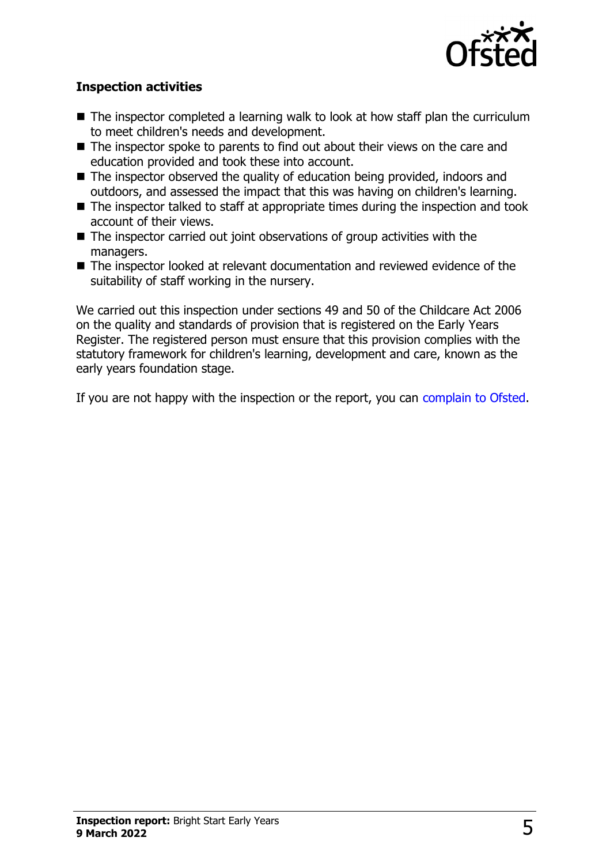

### **Inspection activities**

- $\blacksquare$  The inspector completed a learning walk to look at how staff plan the curriculum to meet children's needs and development.
- $\blacksquare$  The inspector spoke to parents to find out about their views on the care and education provided and took these into account.
- $\blacksquare$  The inspector observed the quality of education being provided, indoors and outdoors, and assessed the impact that this was having on children's learning.
- $\blacksquare$  The inspector talked to staff at appropriate times during the inspection and took account of their views.
- $\blacksquare$  The inspector carried out joint observations of group activities with the managers.
- The inspector looked at relevant documentation and reviewed evidence of the suitability of staff working in the nursery.

We carried out this inspection under sections 49 and 50 of the Childcare Act 2006 on the quality and standards of provision that is registered on the Early Years Register. The registered person must ensure that this provision complies with the statutory framework for children's learning, development and care, known as the early years foundation stage.

If you are not happy with the inspection or the report, you can [complain to Ofsted](http://www.gov.uk/complain-ofsted-report).